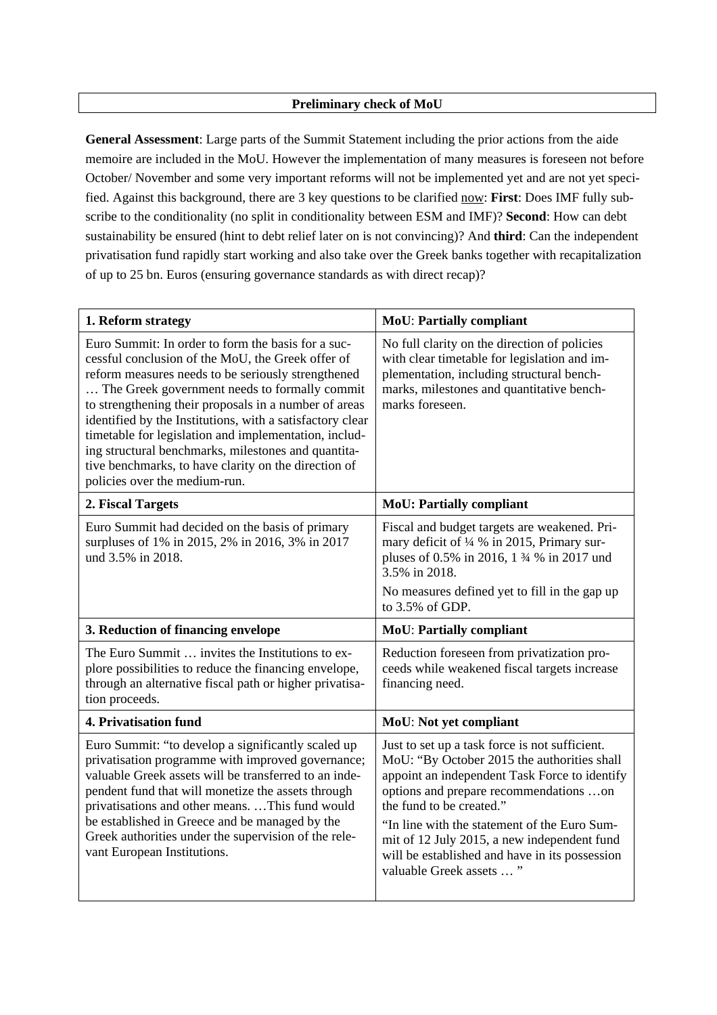## **Preliminary check of MoU**

**General Assessment**: Large parts of the Summit Statement including the prior actions from the aide memoire are included in the MoU. However the implementation of many measures is foreseen not before October/ November and some very important reforms will not be implemented yet and are not yet specified. Against this background, there are 3 key questions to be clarified now: **First**: Does IMF fully subscribe to the conditionality (no split in conditionality between ESM and IMF)? **Second**: How can debt sustainability be ensured (hint to debt relief later on is not convincing)? And **third**: Can the independent privatisation fund rapidly start working and also take over the Greek banks together with recapitalization of up to 25 bn. Euros (ensuring governance standards as with direct recap)?

| 1. Reform strategy                                                                                                                                                                                                                                                                                                                                                                                                                                                                                                                            | <b>MoU: Partially compliant</b>                                                                                                                                                                                                                                                                                                                                                                   |
|-----------------------------------------------------------------------------------------------------------------------------------------------------------------------------------------------------------------------------------------------------------------------------------------------------------------------------------------------------------------------------------------------------------------------------------------------------------------------------------------------------------------------------------------------|---------------------------------------------------------------------------------------------------------------------------------------------------------------------------------------------------------------------------------------------------------------------------------------------------------------------------------------------------------------------------------------------------|
| Euro Summit: In order to form the basis for a suc-<br>cessful conclusion of the MoU, the Greek offer of<br>reform measures needs to be seriously strengthened<br>The Greek government needs to formally commit<br>to strengthening their proposals in a number of areas<br>identified by the Institutions, with a satisfactory clear<br>timetable for legislation and implementation, includ-<br>ing structural benchmarks, milestones and quantita-<br>tive benchmarks, to have clarity on the direction of<br>policies over the medium-run. | No full clarity on the direction of policies<br>with clear timetable for legislation and im-<br>plementation, including structural bench-<br>marks, milestones and quantitative bench-<br>marks foreseen.                                                                                                                                                                                         |
| 2. Fiscal Targets                                                                                                                                                                                                                                                                                                                                                                                                                                                                                                                             | <b>MoU: Partially compliant</b>                                                                                                                                                                                                                                                                                                                                                                   |
| Euro Summit had decided on the basis of primary<br>surpluses of 1% in 2015, 2% in 2016, 3% in 2017<br>und 3.5% in 2018.                                                                                                                                                                                                                                                                                                                                                                                                                       | Fiscal and budget targets are weakened. Pri-<br>mary deficit of 1/4 % in 2015, Primary sur-<br>pluses of 0.5% in 2016, 1 3/4 % in 2017 und<br>3.5% in 2018.<br>No measures defined yet to fill in the gap up<br>to 3.5% of GDP.                                                                                                                                                                   |
| 3. Reduction of financing envelope                                                                                                                                                                                                                                                                                                                                                                                                                                                                                                            | <b>MoU: Partially compliant</b>                                                                                                                                                                                                                                                                                                                                                                   |
| The Euro Summit  invites the Institutions to ex-<br>plore possibilities to reduce the financing envelope,<br>through an alternative fiscal path or higher privatisa-<br>tion proceeds.                                                                                                                                                                                                                                                                                                                                                        | Reduction foreseen from privatization pro-<br>ceeds while weakened fiscal targets increase<br>financing need.                                                                                                                                                                                                                                                                                     |
| 4. Privatisation fund                                                                                                                                                                                                                                                                                                                                                                                                                                                                                                                         | <b>MoU:</b> Not yet compliant                                                                                                                                                                                                                                                                                                                                                                     |
| Euro Summit: "to develop a significantly scaled up<br>privatisation programme with improved governance;<br>valuable Greek assets will be transferred to an inde-<br>pendent fund that will monetize the assets through<br>privatisations and other means.  This fund would<br>be established in Greece and be managed by the<br>Greek authorities under the supervision of the rele-<br>vant European Institutions.                                                                                                                           | Just to set up a task force is not sufficient.<br>MoU: "By October 2015 the authorities shall<br>appoint an independent Task Force to identify<br>options and prepare recommendations on<br>the fund to be created."<br>"In line with the statement of the Euro Sum-<br>mit of 12 July 2015, a new independent fund<br>will be established and have in its possession<br>valuable Greek assets  " |